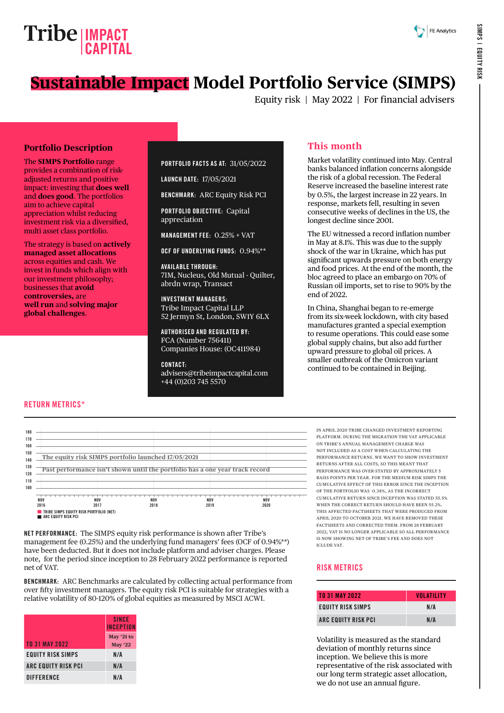# **Sustainable Impact Model Portfolio Service (SIMPS)**

Equity risk | May 2022 | For financial advisers

#### **Portfolio Description**

The **SIMPS Portfolio** range provides a combination of riskadjusted returns and positive impact: investing that **does well** and **does good**. The portfolios aim to achieve capital appreciation whilst reducing investment risk via a diversified, multi asset class portfolio.

The strategy is based on **actively managed asset allocations** across equities and cash. We invest in funds which align with our investment philosophy; businesses that **avoid controversies,** are **well run** and **solving major global challenges**.

#### PORTFOLIO FACTS AS AT: 31/05/2022

LAUNCH DATE: 17/05/2021

BENCHMARK: ARC Equity Risk PCI

PORTFOLIO OBJECTIVE: Capital appreciation

MANAGEMENT FEE: 0.25% + VAT

OCF OF UNDERLYING FUNDS: 0.94%\*\*

AVAILABLE THROUGH: 7IM, Nucleus, Old Mutual - Quilter, abrdn wrap, Transact

INVESTMENT MANAGERS: Tribe Impact Capital LLP 52 Jermyn St, London, SW1Y 6LX

AUTHORISED AND REGULATED BY: FCA (Number 756411) Companies House: (OC411984)

CONTACT: [advisers@tribeimpactcapital.com](mailto:advisers%40tribeimpactcapital.com?subject=) +44 (0)203 745 5570

### **This month**

Market volatility continued into May. Central banks balanced inflation concerns alongside the risk of a global recession. The Federal Reserve increased the baseline interest rate by 0.5%, the largest increase in 22 years. In response, markets fell, resulting in seven consecutive weeks of declines in the US, the longest decline since 2001.

The EU witnessed a record inflation number in May at 8.1%. This was due to the supply shock of the war in Ukraine, which has put significant upwards pressure on both energy and food prices. At the end of the month, the bloc agreed to place an embargo on 70% of Russian oil imports, set to rise to 90% by the end of 2022.

In China, Shanghai began to re-emerge from its six-week lockdown, with city based manufactures granted a special exemption to resume operations. This could ease some global supply chains, but also add further upward pressure to global oil prices. A smaller outbreak of the Omicron variant continued to be contained in Beijing.

#### RETURN METRICS\*



NET PERFORMANCE: The SIMPS equity risk performance is shown after Tribe's management fee (0.25%) and the underlying fund managers' fees (OCF of 0.94%\*\*) have been deducted. But it does not include platform and adviser charges. Please note, for the period since inception to 28 February 2022 performance is reported net of VAT.

BENCHMARK: ARC Benchmarks are calculated by collecting actual performance from over fifty investment managers. The equity risk PCI is suitable for strategies with a relative volatility of 80-120% of global equities as measured by MSCI ACWI.

|                          | <b>SINCE</b><br><b>INCEPTION</b> |
|--------------------------|----------------------------------|
| <b>TO 31 MAY 2022</b>    | May '21 to<br><b>May '22</b>     |
| <b>EQUITY RISK SIMPS</b> | N/A                              |
| ARC EQUITY RISK PCI      | N/A                              |
| <b>DIFFERENCE</b>        | N/A                              |

IN APRIL 2020 TRIBE CHANGED INVESTMENT REPORTING PLATFORM. DURING THE MIGRATION THE VAT APPLICABLE ON TRIBE'S ANNUAL MANAGEMENT CHARGE WAS NOT INCLUDED AS A COST WHEN CALCULATING THE PERFORMANCE RETURNS. WE WANT TO SHOW INVESTMENT RETURNS AFTER ALL COSTS, SO THIS MEANT THAT PERFORMANCE WAS OVER-STATED BY APPROXIMATELY 5 BASIS POINTS PER YEAR. FOR THE MEDIUM RISK SIMPS THE CUMULATIVE EFFECT OF THIS ERROR SINCE THE INCEPTION OF THE PORTFOLIO WAS -0.38%, AS THE INCORRECT CUMULATIVE RETURN SINCE INCEPTION WAS STATED 55.5% WHEN THE CORRECT RETURN SHOULD HAVE BEEN 55.2%. THIS AFFECTED FACTSHEETS THAT WERE PRODUCED FROM APRIL 2020 TO OCTOBER 2021. WE HAVE REMOVED THESE FACTSHEETS AND CORRECTED THEM. FROM 28 FEBRUARY 2022, VAT IS NO LONGER APPLICABLE SO ALL PERFORMANCE IS NOW SHOWING NET OF TRIBE'S FEE AND DOES NOT ICLUDE VAT.

#### RISK METRICS

| <b>TO 31 MAY 2022</b> | <b>VOLATILITY</b> |
|-----------------------|-------------------|
| EQUITY RISK SIMPS     | N/A               |
| ARC EQUITY RISK PCI   | N/A               |

Volatility is measured as the standard deviation of monthly returns since inception. We believe this is more representative of the risk associated with our long term strategic asset allocation, we do not use an annual figure.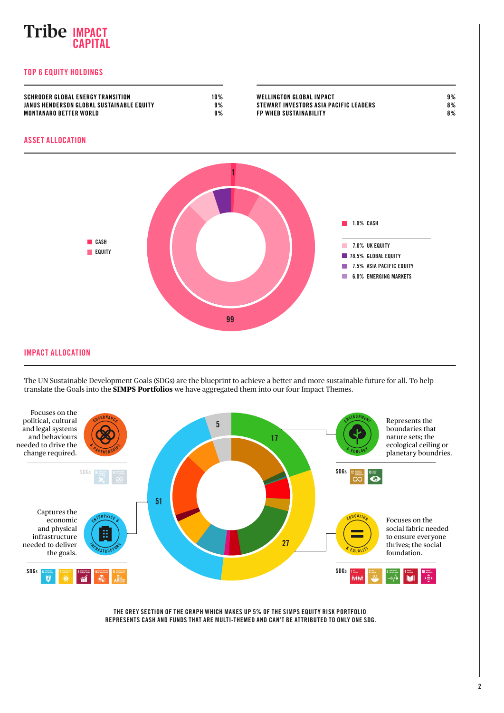## **IMPACT CAPITAL**

#### TOP 6 EQUITY HOLDINGS



IMPACT ALLOCATION

The UN Sustainable Development Goals (SDGs) are the blueprint to achieve a better and more sustainable future for all. To help translate the Goals into the **SIMPS Portfolios** we have aggregated them into our four Impact Themes.



THE GREY SECTION OF THE GRAPH WHICH MAKES UP 5% OF THE SIMPS EQUITY RISK PORTFOLIO REPRESENTS CASH AND FUNDS THAT ARE MULTI-THEMED AND CAN'T BE ATTRIBUTED TO ONLY ONE SDG.